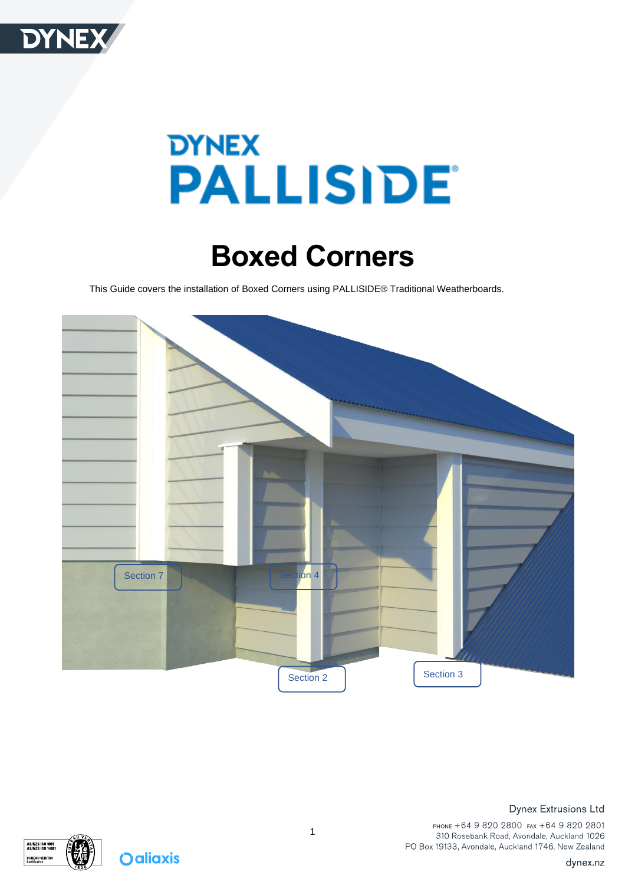

# **DYNEX PALLISIDE®**

## **Boxed Corners**

This Guide covers the installation of Boxed Corners using PALLISIDE® Traditional Weatherboards.





**Oaliaxis**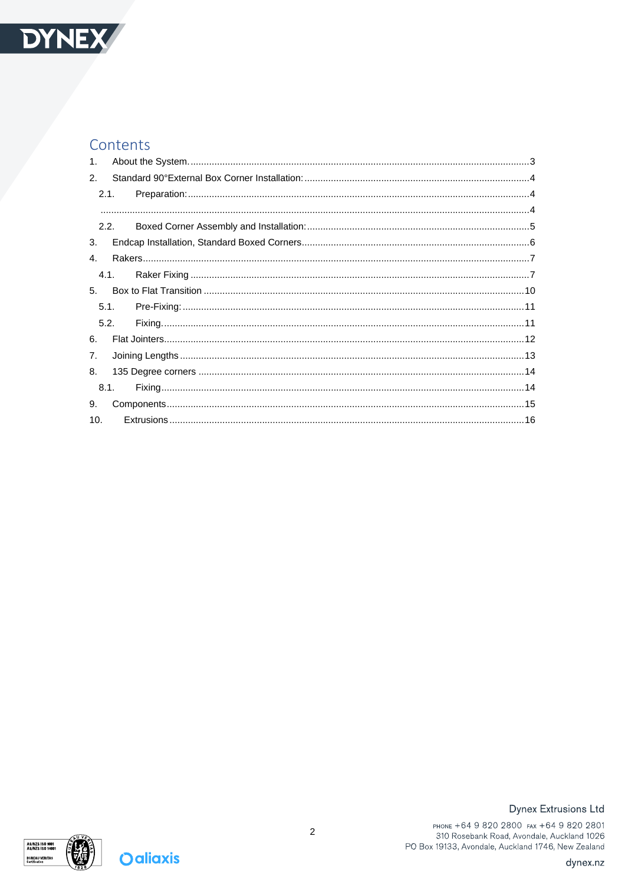

#### Contents

| 1.             |      |  |
|----------------|------|--|
| 2.             |      |  |
|                | 2.1. |  |
|                |      |  |
|                | 2.2. |  |
| 3.             |      |  |
| 4.             |      |  |
|                | 4.1. |  |
| 5 <sub>1</sub> |      |  |
|                | 5.1. |  |
|                | 5.2. |  |
| 6.             |      |  |
| 7.             |      |  |
| 8.             |      |  |
|                | 8.1. |  |
| 9.             |      |  |
| 10.            |      |  |
|                |      |  |



**Oaliaxis** 

#### **Dynex Extrusions Ltd**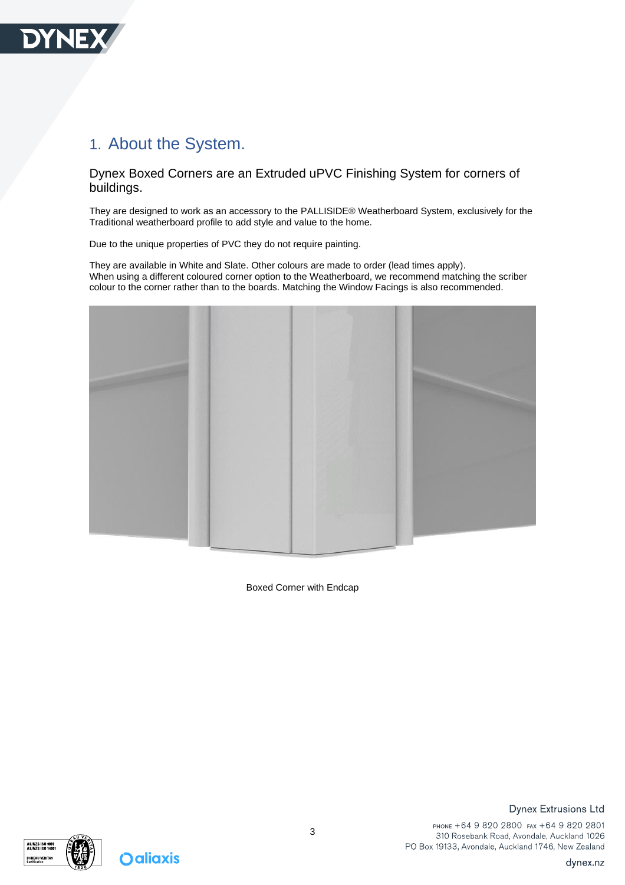

## <span id="page-2-0"></span>1. About the System.

Dynex Boxed Corners are an Extruded uPVC Finishing System for corners of buildings.

They are designed to work as an accessory to the PALLISIDE® Weatherboard System, exclusively for the Traditional weatherboard profile to add style and value to the home.

Due to the unique properties of PVC they do not require painting.

They are available in White and Slate. Other colours are made to order (lead times apply). When using a different coloured corner option to the Weatherboard, we recommend matching the scriber colour to the corner rather than to the boards. Matching the Window Facings is also recommended.



Boxed Corner with Endcap





**Dynex Extrusions Ltd**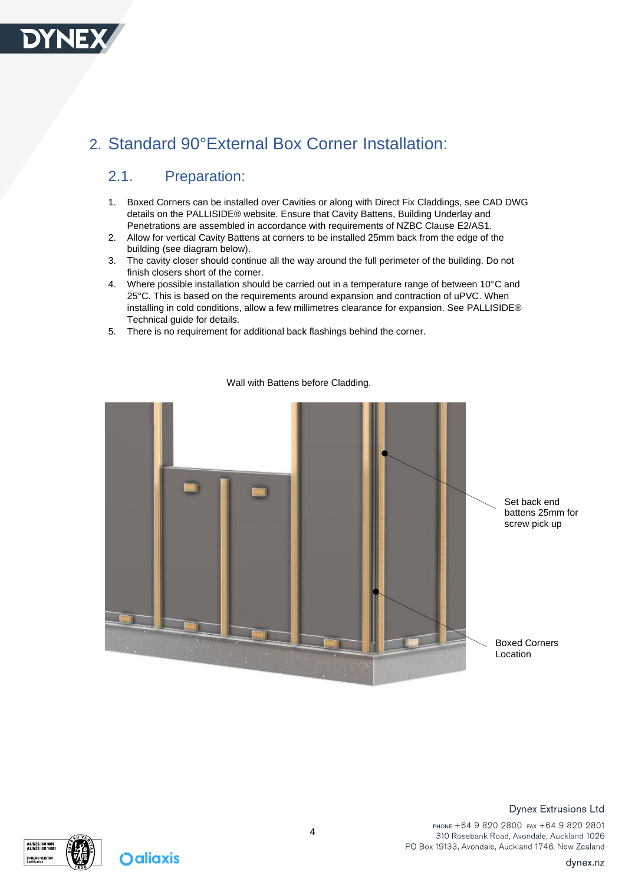

## <span id="page-3-1"></span><span id="page-3-0"></span>2. Standard 90°External Box Corner Installation:

#### 2.1. Preparation:

- 1. Boxed Corners can be installed over Cavities or along with Direct Fix Claddings, see CAD DWG details on the PALLISIDE® website. Ensure that Cavity Battens, Building Underlay and Penetrations are assembled in accordance with requirements of NZBC Clause E2/AS1.
- 2. Allow for vertical Cavity Battens at corners to be installed 25mm back from the edge of the building (see diagram below).
- 3. The cavity closer should continue all the way around the full perimeter of the building. Do not finish closers short of the corner.
- 4. Where possible installation should be carried out in a temperature range of between 10°C and 25°C. This is based on the requirements around expansion and contraction of uPVC. When installing in cold conditions, allow a few millimetres clearance for expansion. See PALLISIDE® Technical guide for details.
- 5. There is no requirement for additional back flashings behind the corner.

<span id="page-3-2"></span>

#### Wall with Battens before Cladding.



**Oaliaxis** 

#### **Dynex Extrusions Ltd**

PHONE +64 9 820 2800 FAX +64 9 820 2801 310 Rosebank Road, Avondale, Auckland 1026 PO Box 19133, Avondale, Auckland 1746, New Zealand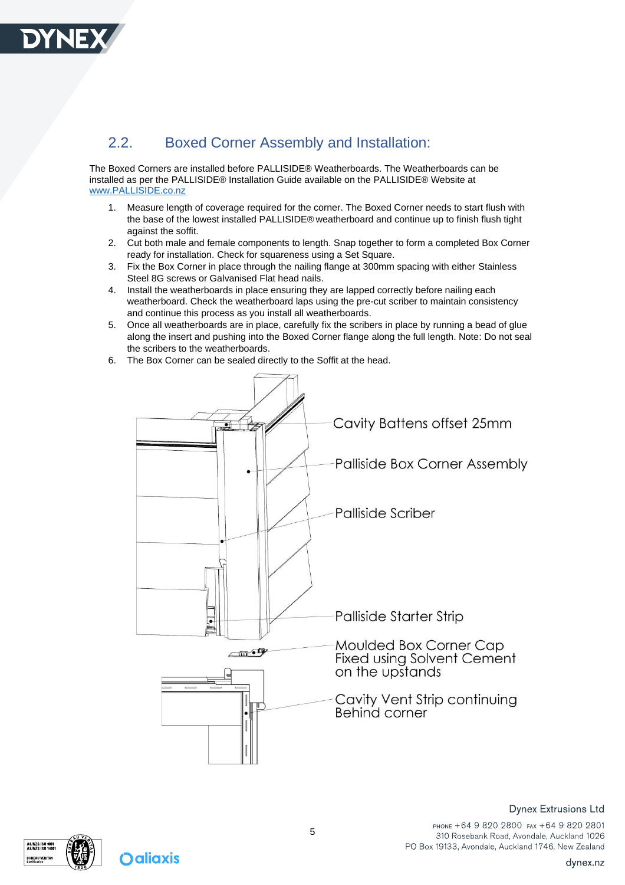

#### <span id="page-4-0"></span>2.2. Boxed Corner Assembly and Installation:

The Boxed Corners are installed before PALLISIDE® Weatherboards. The Weatherboards can be installed as per the PALLISIDE® Installation Guide available on the PALLISIDE® Website at [www.PALLISIDE.co.nz](http://www.palliside.co.nz/)

- 1. Measure length of coverage required for the corner. The Boxed Corner needs to start flush with the base of the lowest installed PALLISIDE® weatherboard and continue up to finish flush tight against the soffit.
- 2. Cut both male and female components to length. Snap together to form a completed Box Corner ready for installation. Check for squareness using a Set Square.
- 3. Fix the Box Corner in place through the nailing flange at 300mm spacing with either Stainless Steel 8G screws or Galvanised Flat head nails.
- 4. Install the weatherboards in place ensuring they are lapped correctly before nailing each weatherboard. Check the weatherboard laps using the pre-cut scriber to maintain consistency and continue this process as you install all weatherboards.
- 5. Once all weatherboards are in place, carefully fix the scribers in place by running a bead of glue along the insert and pushing into the Boxed Corner flange along the full length. Note: Do not seal the scribers to the weatherboards.
- 6. The Box Corner can be sealed directly to the Soffit at the head.



AS/NZS ISO 900<br>AS/NZS ISO 140 **BUREAU VERITA:** 



PHONE +64 9 820 2800 FAX +64 9 820 2801 310 Rosebank Road, Avondale, Auckland 1026 PO Box 19133, Avondale, Auckland 1746, New Zealand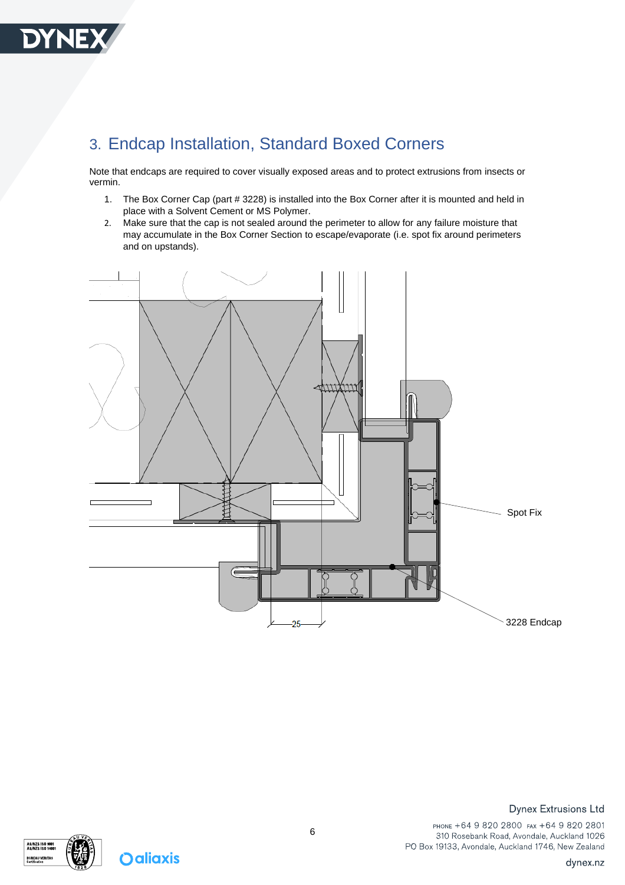

## <span id="page-5-0"></span>3. Endcap Installation, Standard Boxed Corners

Note that endcaps are required to cover visually exposed areas and to protect extrusions from insects or vermin.

- 1. The Box Corner Cap (part # 3228) is installed into the Box Corner after it is mounted and held in place with a Solvent Cement or MS Polymer.
- 2. Make sure that the cap is not sealed around the perimeter to allow for any failure moisture that may accumulate in the Box Corner Section to escape/evaporate (i.e. spot fix around perimeters and on upstands).





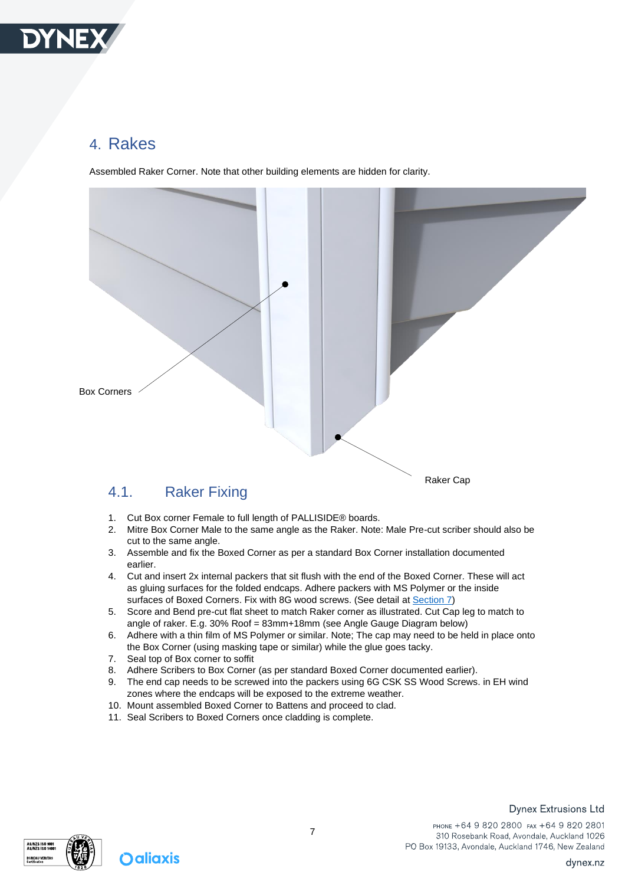

### <span id="page-6-0"></span>4. Rakes

Assembled Raker Corner. Note that other building elements are hidden for clarity.



- <span id="page-6-1"></span>1. Cut Box corner Female to full length of PALLISIDE® boards.
- 2. Mitre Box Corner Male to the same angle as the Raker. Note: Male Pre-cut scriber should also be cut to the same angle.
- 3. Assemble and fix the Boxed Corner as per a standard Box Corner installation documented earlier.
- 4. Cut and insert 2x internal packers that sit flush with the end of the Boxed Corner. These will act as gluing surfaces for the folded endcaps. Adhere packers with MS Polymer or the inside surfaces of Boxed Corners. Fix with 8G wood screws. (See detail at **Section 7)**
- 5. Score and Bend pre-cut flat sheet to match Raker corner as illustrated. Cut Cap leg to match to angle of raker. E.g. 30% Roof = 83mm+18mm (see Angle Gauge Diagram below)
- 6. Adhere with a thin film of MS Polymer or similar. Note; The cap may need to be held in place onto the Box Corner (using masking tape or similar) while the glue goes tacky.
- 7. Seal top of Box corner to soffit
- 8. Adhere Scribers to Box Corner (as per standard Boxed Corner documented earlier).
- 9. The end cap needs to be screwed into the packers using 6G CSK SS Wood Screws. in EH wind zones where the endcaps will be exposed to the extreme weather.
- 10. Mount assembled Boxed Corner to Battens and proceed to clad.
- 11. Seal Scribers to Boxed Corners once cladding is complete.

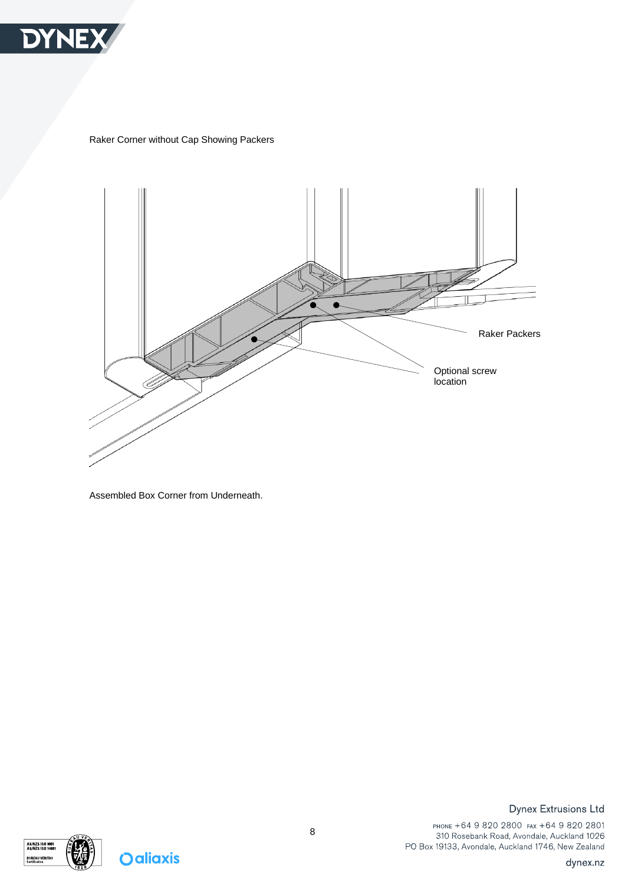

Raker Corner without Cap Showing Packers



Assembled Box Corner from Underneath.



**Oaliaxis** 

**Dynex Extrusions Ltd**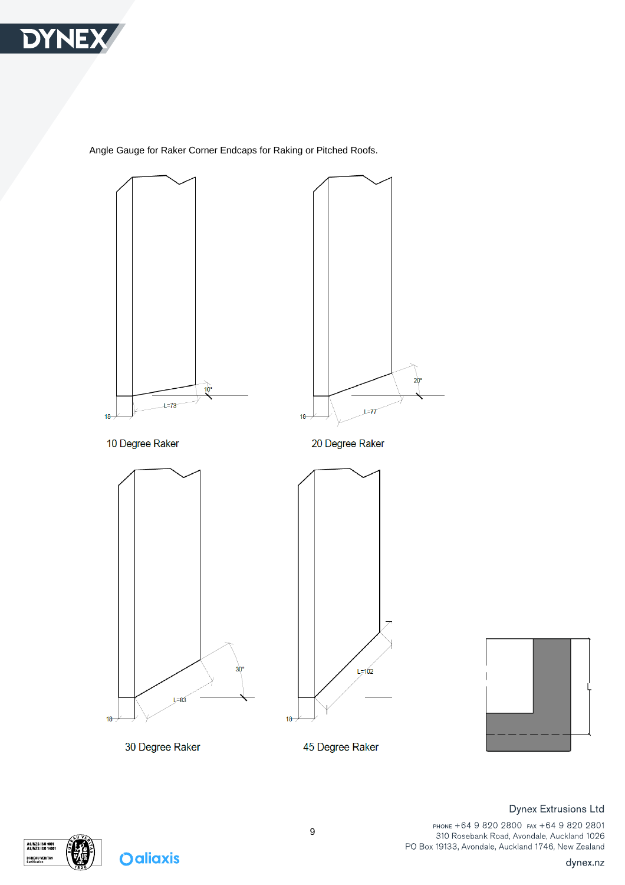

Angle Gauge for Raker Corner Endcaps for Raking or Pitched Roofs.







**BUREAU VERITAS** 

**Dynex Extrusions Ltd** 

PHONE +64 9 820 2800 FAX +64 9 820 2801 310 Rosebank Road, Avondale, Auckland 1026 PO Box 19133, Avondale, Auckland 1746, New Zealand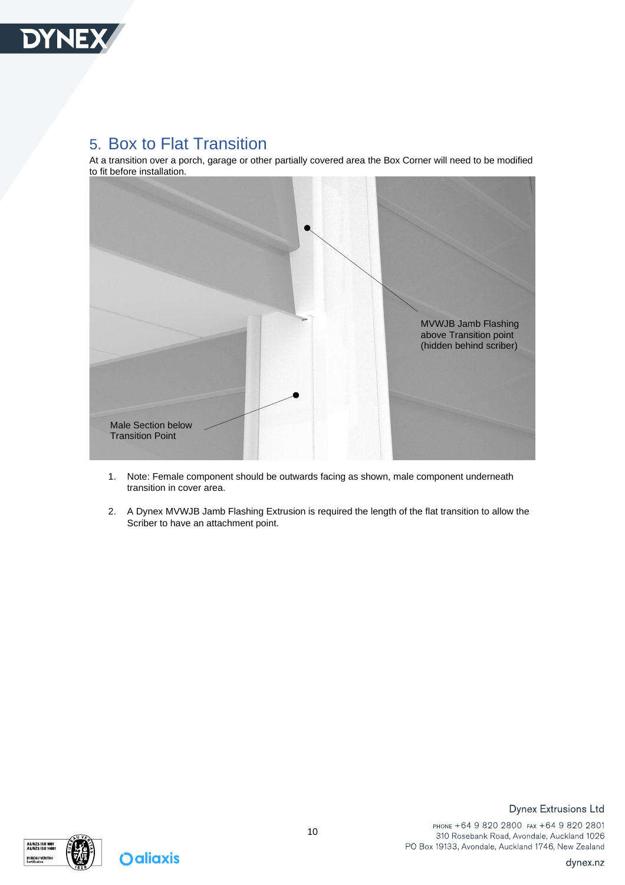

#### <span id="page-9-0"></span>5. Box to Flat Transition

At a transition over a porch, garage or other partially covered area the Box Corner will need to be modified to fit before installation.



- 1. Note: Female component should be outwards facing as shown, male component underneath transition in cover area.
- 2. A Dynex MVWJB Jamb Flashing Extrusion is required the length of the flat transition to allow the Scriber to have an attachment point.



**Oaliaxis** 

#### **Dynex Extrusions Ltd**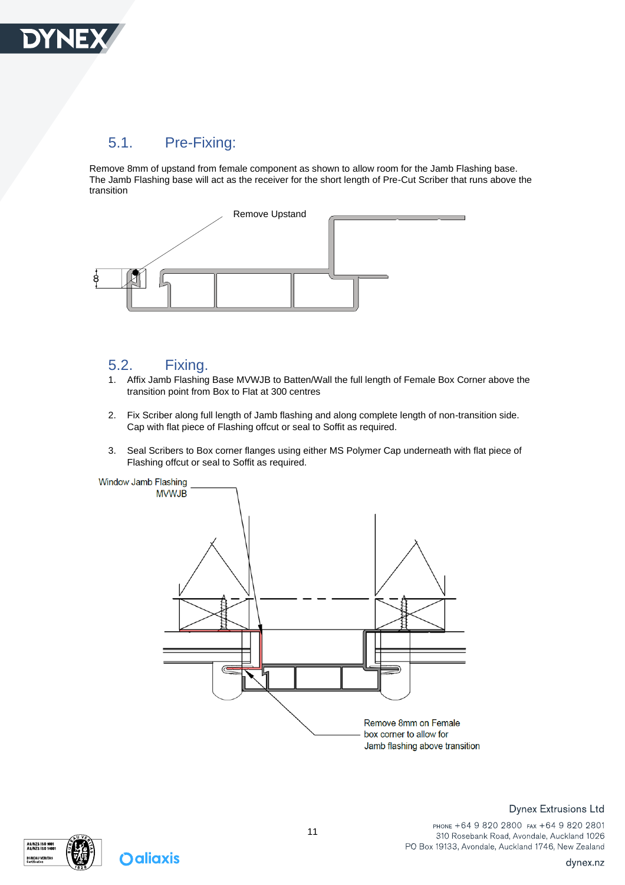

#### <span id="page-10-0"></span>5.1. Pre-Fixing:

Remove 8mm of upstand from female component as shown to allow room for the Jamb Flashing base. The Jamb Flashing base will act as the receiver for the short length of Pre-Cut Scriber that runs above the transition



#### <span id="page-10-1"></span>5.2. Fixing.

- 1. Affix Jamb Flashing Base MVWJB to Batten/Wall the full length of Female Box Corner above the transition point from Box to Flat at 300 centres
- 2. Fix Scriber along full length of Jamb flashing and along complete length of non-transition side. Cap with flat piece of Flashing offcut or seal to Soffit as required.
- 3. Seal Scribers to Box corner flanges using either MS Polymer Cap underneath with flat piece of Flashing offcut or seal to Soffit as required.





**Oaliaxis** 

#### **Dynex Extrusions Ltd**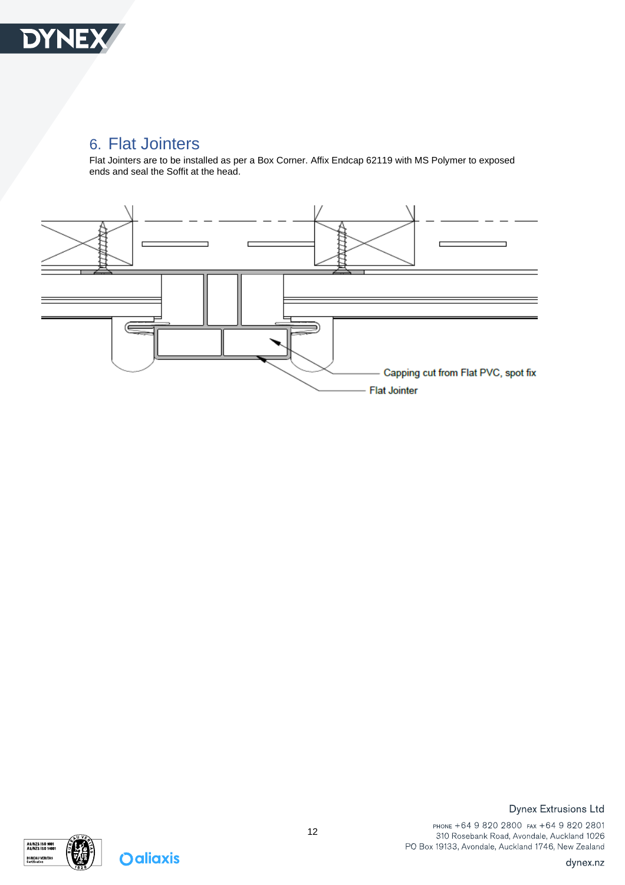

#### <span id="page-11-0"></span>6. Flat Jointers

Flat Jointers are to be installed as per a Box Corner. Affix Endcap 62119 with MS Polymer to exposed ends and seal the Soffit at the head.





**Oaliaxis** 

**Dynex Extrusions Ltd**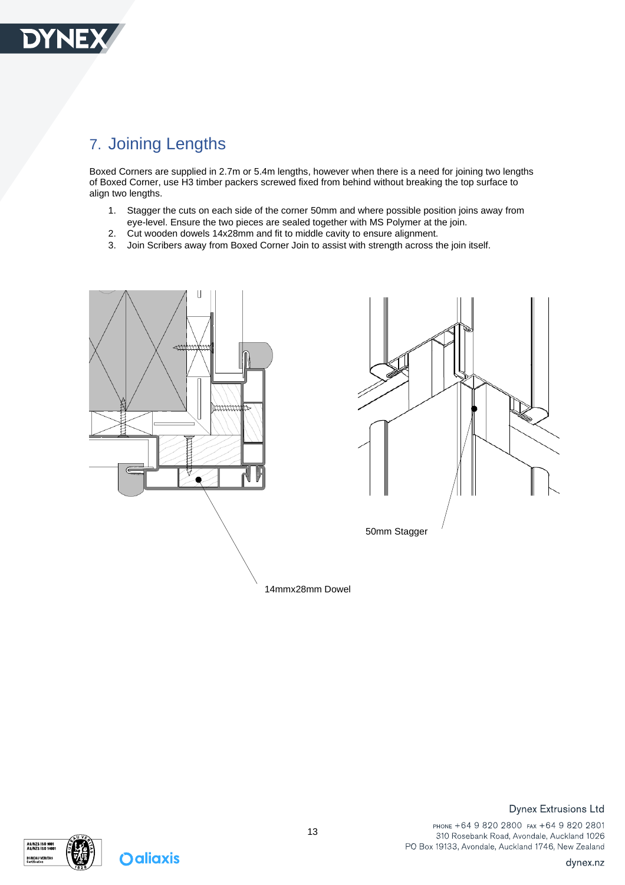

## <span id="page-12-0"></span>7. Joining Lengths

Boxed Corners are supplied in 2.7m or 5.4m lengths, however when there is a need for joining two lengths of Boxed Corner, use H3 timber packers screwed fixed from behind without breaking the top surface to align two lengths.

- 1. Stagger the cuts on each side of the corner 50mm and where possible position joins away from eye-level. Ensure the two pieces are sealed together with MS Polymer at the join.
- 2. Cut wooden dowels 14x28mm and fit to middle cavity to ensure alignment.
- 3. Join Scribers away from Boxed Corner Join to assist with strength across the join itself.





14mmx28mm Dowel



**Oaliaxis** 

#### **Dynex Extrusions Ltd**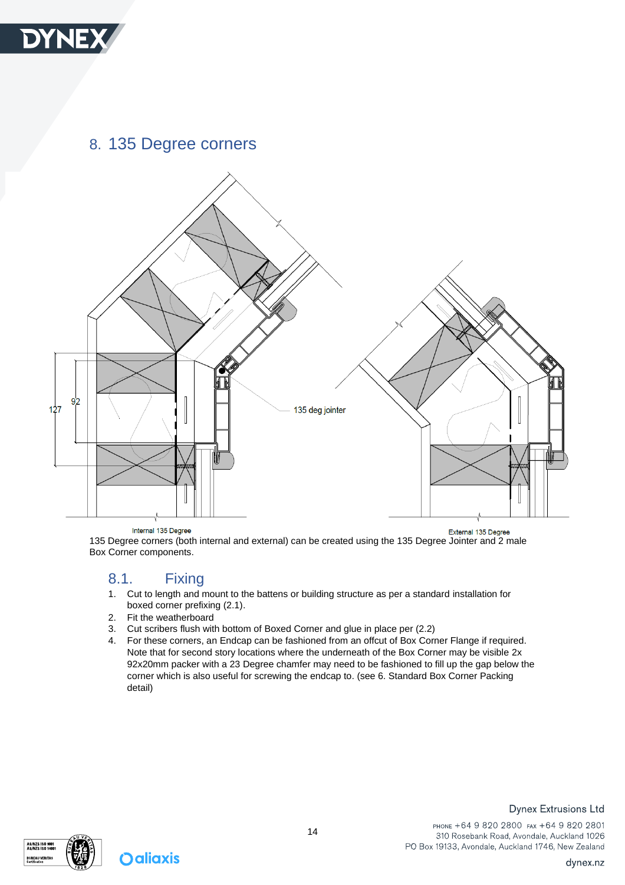

#### <span id="page-13-0"></span>8. 135 Degree corners



Internal 135 Degree

External 135 Degree 135 Degree corners (both internal and external) can be created using the 135 Degree Jointer and 2 male Box Corner components.

#### <span id="page-13-1"></span>8.1. Fixing

- 1. Cut to length and mount to the battens or building structure as per a standard installation for boxed corner prefixing (2.1).
- 2. Fit the weatherboard
- 3. Cut scribers flush with bottom of Boxed Corner and glue in place per (2.2)
- 4. For these corners, an Endcap can be fashioned from an offcut of Box Corner Flange if required. Note that for second story locations where the underneath of the Box Corner may be visible 2x 92x20mm packer with a 23 Degree chamfer may need to be fashioned to fill up the gap below the corner which is also useful for screwing the endcap to. (see 6. Standard Box Corner Packing detail)

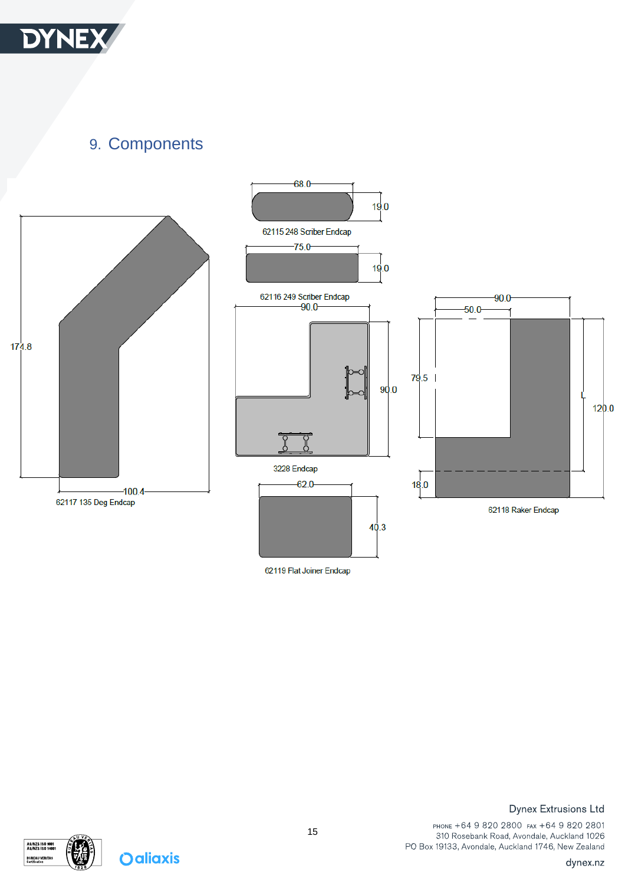

<span id="page-14-0"></span>9. Components



62119 Flat Joiner Endcap